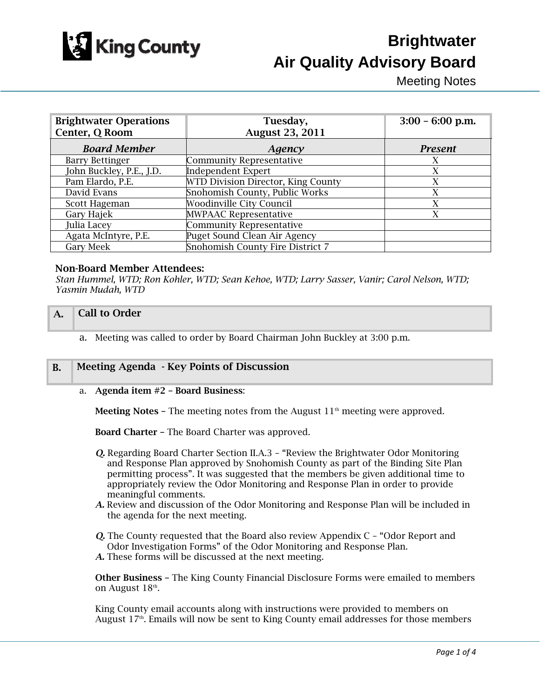

# **Brightwater Air Quality Advisory Board**

Meeting Notes

| <b>Brightwater Operations</b><br>Center, Q Room | Tuesday,<br><b>August 23, 2011</b> | $3:00 - 6:00$ p.m. |
|-------------------------------------------------|------------------------------------|--------------------|
| <b>Board Member</b>                             | Agency                             | <b>Present</b>     |
| <b>Barry Bettinger</b>                          | <b>Community Representative</b>    | X                  |
| John Buckley, P.E., J.D.                        | <b>Independent Expert</b>          | X                  |
| Pam Elardo, P.E.                                | WTD Division Director, King County | X                  |
| David Evans                                     | Snohomish County, Public Works     | X                  |
| Scott Hageman                                   | <b>Woodinville City Council</b>    | X                  |
| Gary Hajek                                      | <b>MWPAAC Representative</b>       | X                  |
| Julia Lacey                                     | <b>Community Representative</b>    |                    |
| Agata McIntyre, P.E.                            | Puget Sound Clean Air Agency       |                    |
| <b>Gary Meek</b>                                | Snohomish County Fire District 7   |                    |

# Non-Board Member Attendees:

*Stan Hummel, WTD; Ron Kohler, WTD; Sean Kehoe, WTD; Larry Sasser, Vanir; Carol Nelson, WTD; Yasmin Mudah, WTD* 

## A. **Call to Order**

a. Meeting was called to order by Board Chairman John Buckley at 3:00 p.m.

# B. Meeting Agenda - Key Points of Discussion

### a. Agenda item #2 – Board Business:

**Meeting Notes – The meeting notes from the August 11<sup>th</sup> meeting were approved.** 

Board Charter – The Board Charter was approved.

- *Q.* Regarding Board Charter Section II.A.3 "Review the Brightwater Odor Monitoring and Response Plan approved by Snohomish County as part of the Binding Site Plan permitting process". It was suggested that the members be given additional time to appropriately review the Odor Monitoring and Response Plan in order to provide meaningful comments.
- *A.* Review and discussion of the Odor Monitoring and Response Plan will be included in the agenda for the next meeting.
- *Q.* The County requested that the Board also review Appendix C "Odor Report and Odor Investigation Forms" of the Odor Monitoring and Response Plan.
- *A.* These forms will be discussed at the next meeting.

Other Business – The King County Financial Disclosure Forms were emailed to members on August 18<sup>th</sup>.

King County email accounts along with instructions were provided to members on August  $17<sup>th</sup>$ . Emails will now be sent to King County email addresses for those members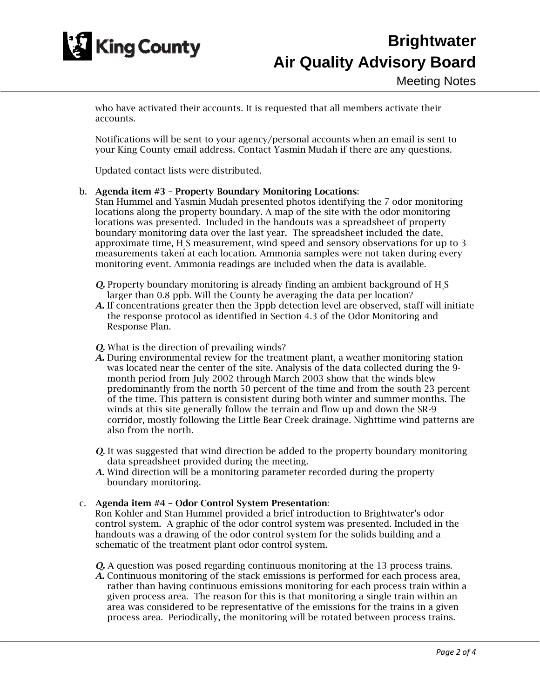

who have activated their accounts. It is requested that all members activate their accounts.

Notifications will be sent to your agency/personal accounts when an email is sent to your King County email address. Contact Yasmin Mudah if there are any questions.

Updated contact lists were distributed.

## b. Agenda item #3 – Property Boundary Monitoring Locations:

Stan Hummel and Yasmin Mudah presented photos identifying the 7 odor monitoring locations along the property boundary. A map of the site with the odor monitoring locations was presented. Included in the handouts was a spreadsheet of property boundary monitoring data over the last year. The spreadsheet included the date, approximate time, H2 S measurement, wind speed and sensory observations for up to 3 measurements taken at each location. Ammonia samples were not taken during every monitoring event. Ammonia readings are included when the data is available.

- **Q.** Property boundary monitoring is already finding an ambient background of  $H_2S$ larger than 0.8 ppb. Will the County be averaging the data per location?
- *A.* If concentrations greater then the 3ppb detection level are observed, staff will initiate the response protocol as identified in Section 4.3 of the Odor Monitoring and Response Plan.

### *Q.* What is the direction of prevailing winds?

- *A.* During environmental review for the treatment plant, a weather monitoring station was located near the center of the site. Analysis of the data collected during the 9 month period from July 2002 through March 2003 show that the winds blew predominantly from the north 50 percent of the time and from the south 23 percent of the time. This pattern is consistent during both winter and summer months. The winds at this site generally follow the terrain and flow up and down the SR-9 corridor, mostly following the Little Bear Creek drainage. Nighttime wind patterns are also from the north.
- *Q.* It was suggested that wind direction be added to the property boundary monitoring data spreadsheet provided during the meeting.
- *A.* Wind direction will be a monitoring parameter recorded during the property boundary monitoring.

### c. Agenda item #4 – Odor Control System Presentation:

Ron Kohler and Stan Hummel provided a brief introduction to Brightwater's odor control system. A graphic of the odor control system was presented. Included in the handouts was a drawing of the odor control system for the solids building and a schematic of the treatment plant odor control system.

- *Q.* A question was posed regarding continuous monitoring at the 13 process trains.
- *A.* Continuous monitoring of the stack emissions is performed for each process area, rather than having continuous emissions monitoring for each process train within a given process area. The reason for this is that monitoring a single train within an area was considered to be representative of the emissions for the trains in a given process area. Periodically, the monitoring will be rotated between process trains.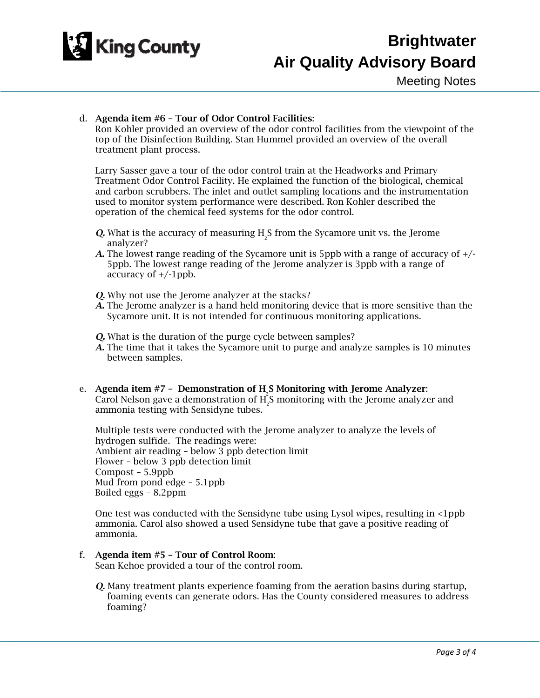

# d. Agenda item #6 – Tour of Odor Control Facilities:

Ron Kohler provided an overview of the odor control facilities from the viewpoint of the top of the Disinfection Building. Stan Hummel provided an overview of the overall treatment plant process.

Larry Sasser gave a tour of the odor control train at the Headworks and Primary Treatment Odor Control Facility. He explained the function of the biological, chemical and carbon scrubbers. The inlet and outlet sampling locations and the instrumentation used to monitor system performance were described. Ron Kohler described the operation of the chemical feed systems for the odor control.

- **Q.** What is the accuracy of measuring  $H_2$ S from the Sycamore unit vs. the Jerome analyzer?
- *A.* The lowest range reading of the Sycamore unit is 5ppb with a range of accuracy of +/- 5ppb. The lowest range reading of the Jerome analyzer is 3ppb with a range of accuracy of  $+/-1$ ppb.
- *Q.* Why not use the Jerome analyzer at the stacks?
- *A.* The Jerome analyzer is a hand held monitoring device that is more sensitive than the Sycamore unit. It is not intended for continuous monitoring applications.
- *Q.* What is the duration of the purge cycle between samples?
- *A.* The time that it takes the Sycamore unit to purge and analyze samples is 10 minutes between samples.
- e. Agenda item  $#7$  Demonstration of  $H_2S$  Monitoring with Jerome Analyzer: Carol Nelson gave a demonstration of  $H_2^S$  monitoring with the Jerome analyzer and ammonia testing with Sensidyne tubes.

Multiple tests were conducted with the Jerome analyzer to analyze the levels of hydrogen sulfide. The readings were: Ambient air reading – below 3 ppb detection limit Flower – below 3 ppb detection limit Compost – 5.9ppb Mud from pond edge – 5.1ppb Boiled eggs – 8.2ppm

One test was conducted with the Sensidyne tube using Lysol wipes, resulting in <1ppb ammonia. Carol also showed a used Sensidyne tube that gave a positive reading of ammonia.

# f. Agenda item #5 – Tour of Control Room:

Sean Kehoe provided a tour of the control room.

*Q.* Many treatment plants experience foaming from the aeration basins during startup, foaming events can generate odors. Has the County considered measures to address foaming?